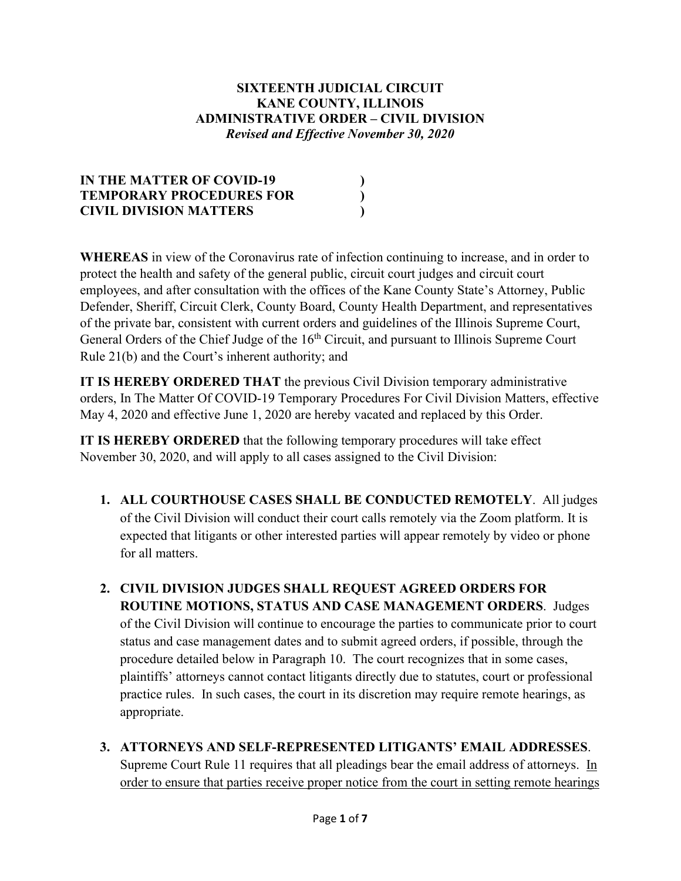### **SIXTEENTH JUDICIAL CIRCUIT KANE COUNTY, ILLINOIS ADMINISTRATIVE ORDER – CIVIL DIVISION** *Revised and Effective November 30, 2020*

| IN THE MATTER OF COVID-19       |  |
|---------------------------------|--|
| <b>TEMPORARY PROCEDURES FOR</b> |  |
| <b>CIVIL DIVISION MATTERS</b>   |  |

**WHEREAS** in view of the Coronavirus rate of infection continuing to increase, and in order to protect the health and safety of the general public, circuit court judges and circuit court employees, and after consultation with the offices of the Kane County State's Attorney, Public Defender, Sheriff, Circuit Clerk, County Board, County Health Department, and representatives of the private bar, consistent with current orders and guidelines of the Illinois Supreme Court, General Orders of the Chief Judge of the 16<sup>th</sup> Circuit, and pursuant to Illinois Supreme Court Rule 21(b) and the Court's inherent authority; and

**IT IS HEREBY ORDERED THAT** the previous Civil Division temporary administrative orders, In The Matter Of COVID-19 Temporary Procedures For Civil Division Matters, effective May 4, 2020 and effective June 1, 2020 are hereby vacated and replaced by this Order.

**IT IS HEREBY ORDERED** that the following temporary procedures will take effect November 30, 2020, and will apply to all cases assigned to the Civil Division:

- **1. ALL COURTHOUSE CASES SHALL BE CONDUCTED REMOTELY**. All judges of the Civil Division will conduct their court calls remotely via the Zoom platform. It is expected that litigants or other interested parties will appear remotely by video or phone for all matters.
- **2. CIVIL DIVISION JUDGES SHALL REQUEST AGREED ORDERS FOR ROUTINE MOTIONS, STATUS AND CASE MANAGEMENT ORDERS**. Judges of the Civil Division will continue to encourage the parties to communicate prior to court status and case management dates and to submit agreed orders, if possible, through the procedure detailed below in Paragraph 10. The court recognizes that in some cases, plaintiffs' attorneys cannot contact litigants directly due to statutes, court or professional practice rules. In such cases, the court in its discretion may require remote hearings, as appropriate.
- **3. ATTORNEYS AND SELF-REPRESENTED LITIGANTS' EMAIL ADDRESSES**. Supreme Court Rule 11 requires that all pleadings bear the email address of attorneys. In order to ensure that parties receive proper notice from the court in setting remote hearings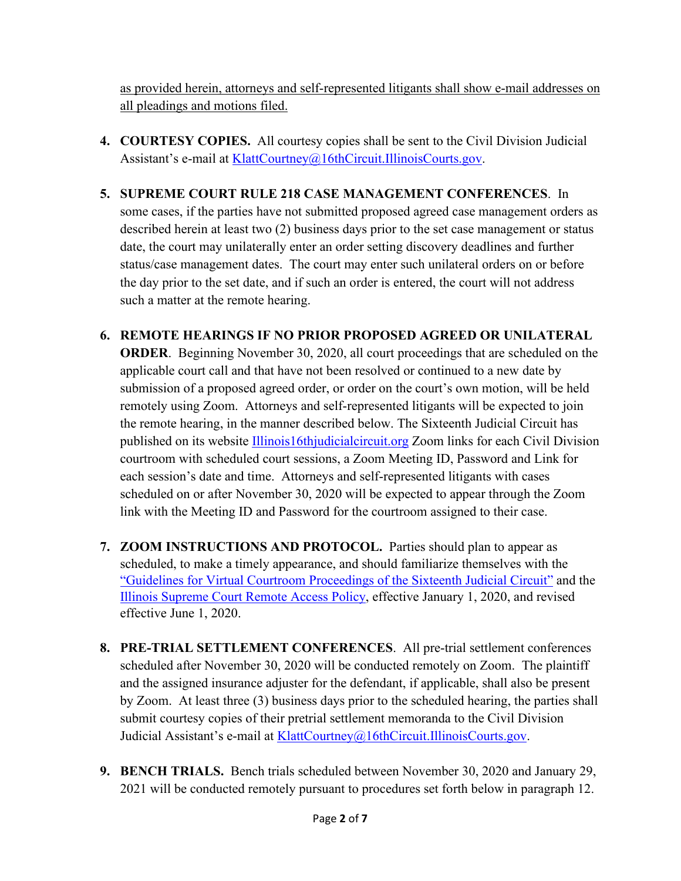as provided herein, attorneys and self-represented litigants shall show e-mail addresses on all pleadings and motions filed.

- **4. COURTESY COPIES.** All courtesy copies shall be sent to the Civil Division Judicial Assistant's e-mail at [KlattCourtney@16thCircuit.IllinoisCourts.gov.](mailto:KlattCourtney@16thCircuit.IllinoisCourts.gov)
- **5. SUPREME COURT RULE 218 CASE MANAGEMENT CONFERENCES**. In some cases, if the parties have not submitted proposed agreed case management orders as described herein at least two (2) business days prior to the set case management or status date, the court may unilaterally enter an order setting discovery deadlines and further status/case management dates. The court may enter such unilateral orders on or before the day prior to the set date, and if such an order is entered, the court will not address such a matter at the remote hearing.
- **6. REMOTE HEARINGS IF NO PRIOR PROPOSED AGREED OR UNILATERAL ORDER**. Beginning November 30, 2020, all court proceedings that are scheduled on the applicable court call and that have not been resolved or continued to a new date by submission of a proposed agreed order, or order on the court's own motion, will be held remotely using Zoom. Attorneys and self-represented litigants will be expected to join the remote hearing, in the manner described below. The Sixteenth Judicial Circuit has published on its website [Illinois16thjudicialcircuit.org](http://www.illinois16thjudicialcircuit.org/) Zoom links for each Civil Division courtroom with scheduled court sessions, a Zoom Meeting ID, Password and Link for each session's date and time. Attorneys and self-represented litigants with cases scheduled on or after November 30, 2020 will be expected to appear through the Zoom link with the Meeting ID and Password for the courtroom assigned to their case.
- **7. ZOOM INSTRUCTIONS AND PROTOCOL.** Parties should plan to appear as scheduled, to make a timely appearance, and should familiarize themselves with the ["Guidelines for Virtual Courtroom Proceedings of the Sixteenth Judicial Circuit"](https://www.illinois16thjudicialcircuit.org/Documents/Guidelines-for-Virtual-Courtroom-Proceedings.pdf) and the [Illinois Supreme Court Remote Access Policy,](https://courts.illinois.gov/SupremeCourt/Policies/Pdf/Remote_Access_Policy.pdf) effective January 1, 2020, and revised effective June 1, 2020.
- **8. PRE-TRIAL SETTLEMENT CONFERENCES**. All pre-trial settlement conferences scheduled after November 30, 2020 will be conducted remotely on Zoom. The plaintiff and the assigned insurance adjuster for the defendant, if applicable, shall also be present by Zoom. At least three (3) business days prior to the scheduled hearing, the parties shall submit courtesy copies of their pretrial settlement memoranda to the Civil Division Judicial Assistant's e-mail at [KlattCourtney@16thCircuit.IllinoisCourts.gov.](mailto:KlattCourtney@16thCircuit.IllinoisCourts.gov)
- **9. BENCH TRIALS.** Bench trials scheduled between November 30, 2020 and January 29, 2021 will be conducted remotely pursuant to procedures set forth below in paragraph 12.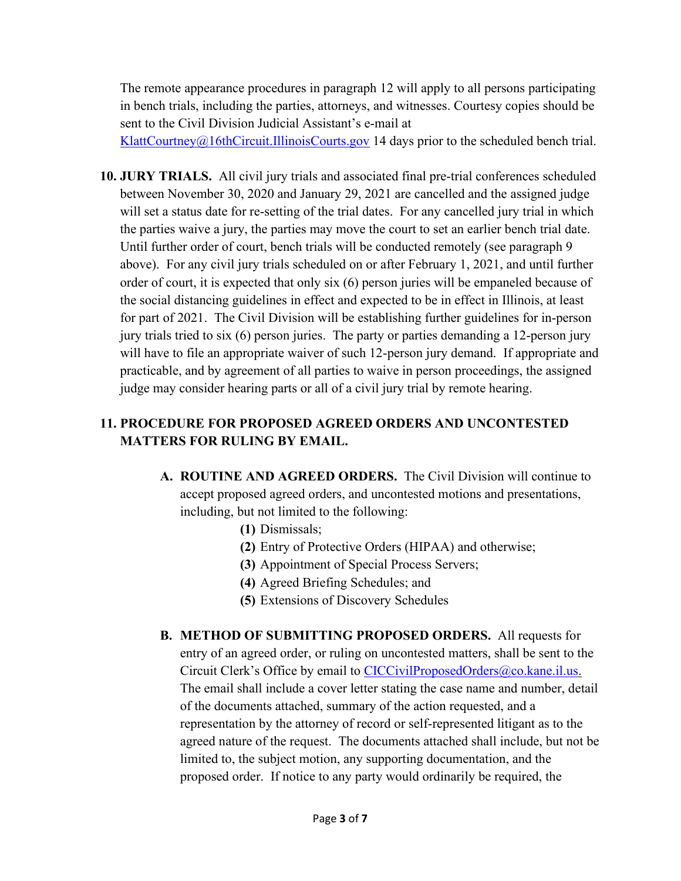The remote appearance procedures in paragraph 12 will apply to all persons participating in bench trials, including the parties, attorneys, and witnesses. Courtesy copies should be sent to the Civil Division Judicial Assistant's e-mail at

[KlattCourtney@16thCircuit.IllinoisCourts.gov](mailto:KlattCourtney@16thCircuit.IllinoisCourts.gov) 14 days prior to the scheduled bench trial.

**10. JURY TRIALS.** All civil jury trials and associated final pre-trial conferences scheduled between November 30, 2020 and January 29, 2021 are cancelled and the assigned judge will set a status date for re-setting of the trial dates. For any cancelled jury trial in which the parties waive a jury, the parties may move the court to set an earlier bench trial date. Until further order of court, bench trials will be conducted remotely (see paragraph 9 above). For any civil jury trials scheduled on or after February 1, 2021, and until further order of court, it is expected that only six (6) person juries will be empaneled because of the social distancing guidelines in effect and expected to be in effect in Illinois, at least for part of 2021. The Civil Division will be establishing further guidelines for in-person jury trials tried to six (6) person juries. The party or parties demanding a 12-person jury will have to file an appropriate waiver of such 12-person jury demand. If appropriate and practicable, and by agreement of all parties to waive in person proceedings, the assigned judge may consider hearing parts or all of a civil jury trial by remote hearing.

## **11. PROCEDURE FOR PROPOSED AGREED ORDERS AND UNCONTESTED MATTERS FOR RULING BY EMAIL.**

- **A. ROUTINE AND AGREED ORDERS.** The Civil Division will continue to accept proposed agreed orders, and uncontested motions and presentations, including, but not limited to the following:
	- **(1)** Dismissals;
	- **(2)** Entry of Protective Orders (HIPAA) and otherwise;
	- **(3)** Appointment of Special Process Servers;
	- **(4)** Agreed Briefing Schedules; and
	- **(5)** Extensions of Discovery Schedules
- **B. METHOD OF SUBMITTING PROPOSED ORDERS.** All requests for entry of an agreed order, or ruling on uncontested matters, shall be sent to the Circuit Clerk's Office by email to [CICCivilProposedOrders@co.kane.il.us.](mailto:CICCivilProposedOrders@co.kane.il.us) The email shall include a cover letter stating the case name and number, detail of the documents attached, summary of the action requested, and a representation by the attorney of record or self-represented litigant as to the agreed nature of the request. The documents attached shall include, but not be limited to, the subject motion, any supporting documentation, and the proposed order. If notice to any party would ordinarily be required, the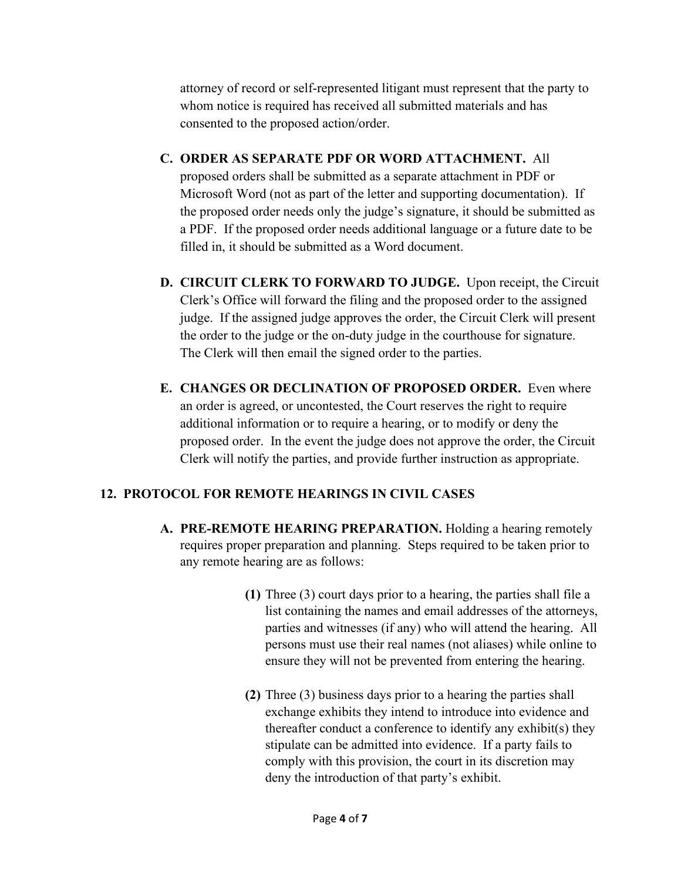attorney of record or self-represented litigant must represent that the party to whom notice is required has received all submitted materials and has consented to the proposed action/order.

- **C. ORDER AS SEPARATE PDF OR WORD ATTACHMENT.** All proposed orders shall be submitted as a separate attachment in PDF or Microsoft Word (not as part of the letter and supporting documentation). If the proposed order needs only the judge's signature, it should be submitted as a PDF. If the proposed order needs additional language or a future date to be filled in, it should be submitted as a Word document.
- **D. CIRCUIT CLERK TO FORWARD TO JUDGE.** Upon receipt, the Circuit Clerk's Office will forward the filing and the proposed order to the assigned judge. If the assigned judge approves the order, the Circuit Clerk will present the order to the judge or the on-duty judge in the courthouse for signature. The Clerk will then email the signed order to the parties.
- **E. CHANGES OR DECLINATION OF PROPOSED ORDER.** Even where an order is agreed, or uncontested, the Court reserves the right to require additional information or to require a hearing, or to modify or deny the proposed order. In the event the judge does not approve the order, the Circuit Clerk will notify the parties, and provide further instruction as appropriate.

# **12. PROTOCOL FOR REMOTE HEARINGS IN CIVIL CASES**

- **A. PRE-REMOTE HEARING PREPARATION.** Holding a hearing remotely requires proper preparation and planning. Steps required to be taken prior to any remote hearing are as follows:
	- **(1)** Three (3) court days prior to a hearing, the parties shall file a list containing the names and email addresses of the attorneys, parties and witnesses (if any) who will attend the hearing. All persons must use their real names (not aliases) while online to ensure they will not be prevented from entering the hearing.
	- **(2)** Three (3) business days prior to a hearing the parties shall exchange exhibits they intend to introduce into evidence and thereafter conduct a conference to identify any exhibit(s) they stipulate can be admitted into evidence. If a party fails to comply with this provision, the court in its discretion may deny the introduction of that party's exhibit.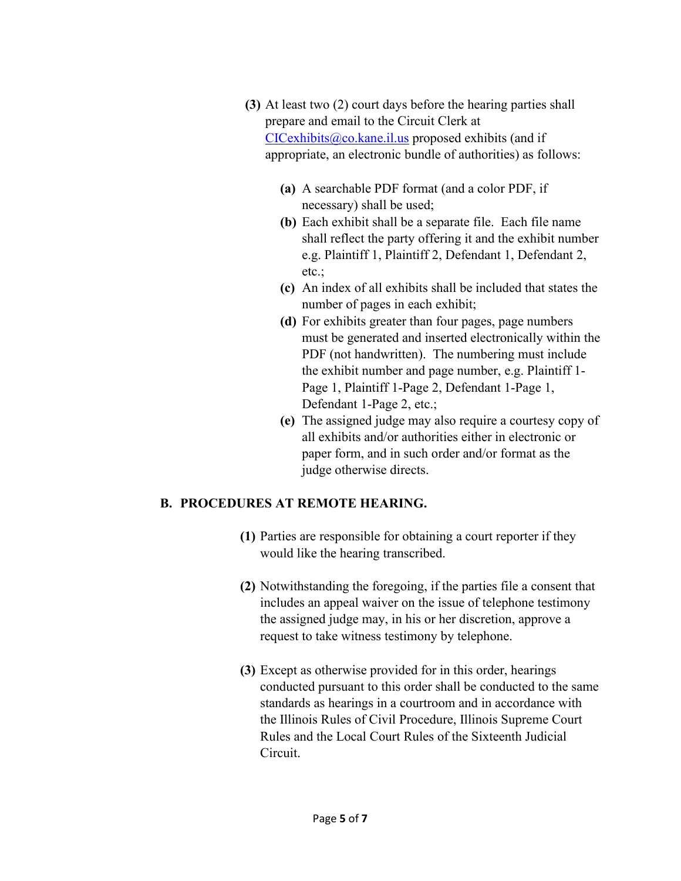- **(3)** At least two (2) court days before the hearing parties shall prepare and email to the Circuit Clerk at  $CICexhibits@co.kane.i.l.us$  proposed exhibits (and if appropriate, an electronic bundle of authorities) as follows:
	- **(a)** A searchable PDF format (and a color PDF, if necessary) shall be used;
	- **(b)** Each exhibit shall be a separate file. Each file name shall reflect the party offering it and the exhibit number e.g. Plaintiff 1, Plaintiff 2, Defendant 1, Defendant 2, etc.;
	- **(c)** An index of all exhibits shall be included that states the number of pages in each exhibit;
	- **(d)** For exhibits greater than four pages, page numbers must be generated and inserted electronically within the PDF (not handwritten). The numbering must include the exhibit number and page number, e.g. Plaintiff 1- Page 1, Plaintiff 1-Page 2, Defendant 1-Page 1, Defendant 1-Page 2, etc.;
	- **(e)** The assigned judge may also require a courtesy copy of all exhibits and/or authorities either in electronic or paper form, and in such order and/or format as the judge otherwise directs.

### **B. PROCEDURES AT REMOTE HEARING.**

- **(1)** Parties are responsible for obtaining a court reporter if they would like the hearing transcribed.
- **(2)** Notwithstanding the foregoing, if the parties file a consent that includes an appeal waiver on the issue of telephone testimony the assigned judge may, in his or her discretion, approve a request to take witness testimony by telephone.
- **(3)** Except as otherwise provided for in this order, hearings conducted pursuant to this order shall be conducted to the same standards as hearings in a courtroom and in accordance with the Illinois Rules of Civil Procedure, Illinois Supreme Court Rules and the Local Court Rules of the Sixteenth Judicial Circuit.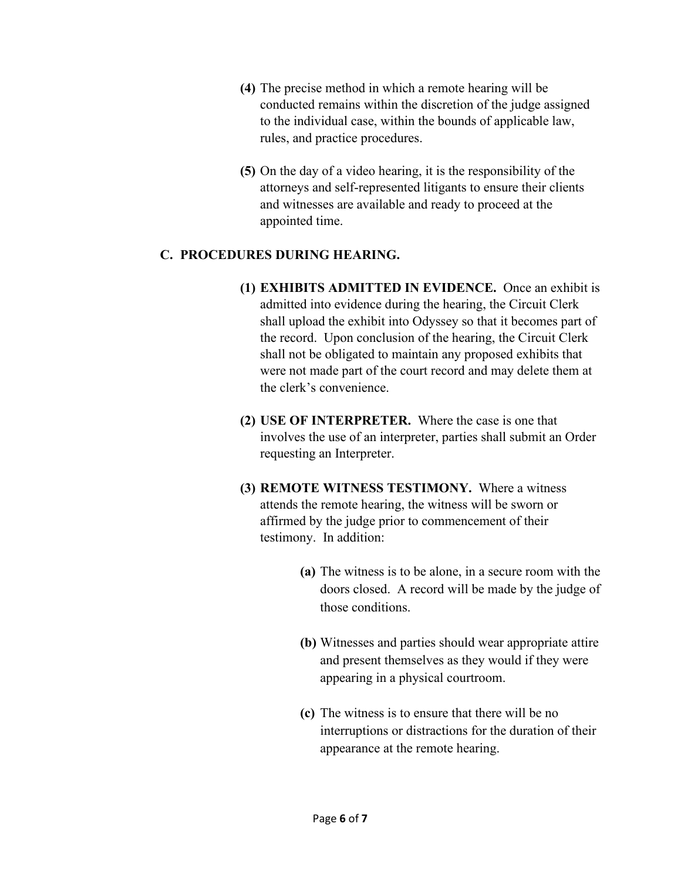- **(4)** The precise method in which a remote hearing will be conducted remains within the discretion of the judge assigned to the individual case, within the bounds of applicable law, rules, and practice procedures.
- **(5)** On the day of a video hearing, it is the responsibility of the attorneys and self-represented litigants to ensure their clients and witnesses are available and ready to proceed at the appointed time.

### **C. PROCEDURES DURING HEARING.**

- **(1) EXHIBITS ADMITTED IN EVIDENCE.** Once an exhibit is admitted into evidence during the hearing, the Circuit Clerk shall upload the exhibit into Odyssey so that it becomes part of the record. Upon conclusion of the hearing, the Circuit Clerk shall not be obligated to maintain any proposed exhibits that were not made part of the court record and may delete them at the clerk's convenience.
- **(2) USE OF INTERPRETER.** Where the case is one that involves the use of an interpreter, parties shall submit an Order requesting an Interpreter.
- **(3) REMOTE WITNESS TESTIMONY.** Where a witness attends the remote hearing, the witness will be sworn or affirmed by the judge prior to commencement of their testimony. In addition:
	- **(a)** The witness is to be alone, in a secure room with the doors closed. A record will be made by the judge of those conditions.
	- **(b)** Witnesses and parties should wear appropriate attire and present themselves as they would if they were appearing in a physical courtroom.
	- **(c)** The witness is to ensure that there will be no interruptions or distractions for the duration of their appearance at the remote hearing.